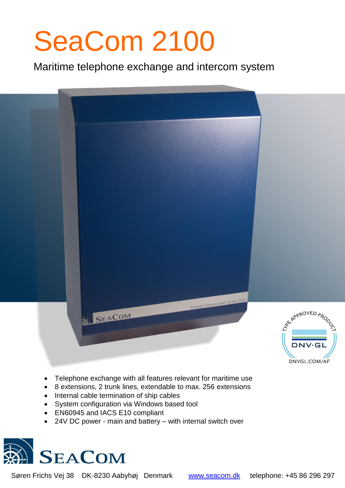# SeaCom 2100

Maritime telephone exchange and intercom system



- Telephone exchange with all features relevant for maritime use
- 8 extensions, 2 trunk lines, extendable to max. 256 extensions
- Internal cable termination of ship cables
- System configuration via Windows based tool
- EN60945 and IACS E10 compliant
- 24V DC power main and battery with internal switch over



Søren Frichs Vej 38 DK-8230 Aabyhøj Denmark [www.seacom.dk](http://www.seacom.dk/) telephone: +45 86 296 297